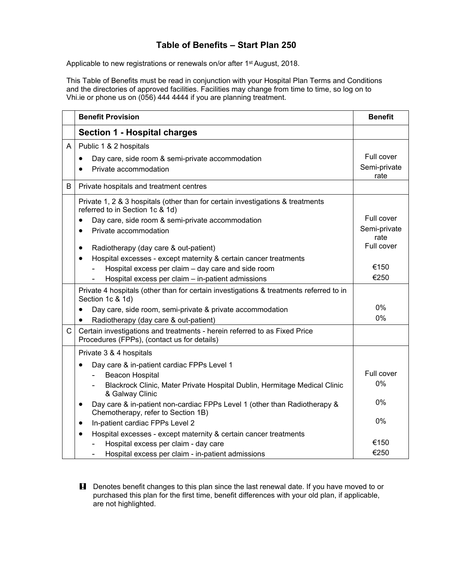## **Table of Benefits – Start Plan 250**

Applicable to new registrations or renewals on/or after 1<sup>st</sup> August, 2018.

This Table of Benefits must be read in conjunction with your Hospital Plan Terms and Conditions and the directories of approved facilities. Facilities may change from time to time, so log on to Vhi.ie or phone us on (056) 444 4444 if you are planning treatment.

|   | <b>Benefit Provision</b>                                                                                                     | <b>Benefit</b>       |
|---|------------------------------------------------------------------------------------------------------------------------------|----------------------|
|   | <b>Section 1 - Hospital charges</b>                                                                                          |                      |
| A | Public 1 & 2 hospitals                                                                                                       |                      |
|   | Day care, side room & semi-private accommodation<br>$\bullet$                                                                | Full cover           |
|   | Private accommodation<br>$\bullet$                                                                                           | Semi-private<br>rate |
| B | Private hospitals and treatment centres                                                                                      |                      |
|   | Private 1, 2 & 3 hospitals (other than for certain investigations & treatments<br>referred to in Section 1c & 1d)            |                      |
|   | Day care, side room & semi-private accommodation<br>$\bullet$                                                                | Full cover           |
|   | Private accommodation                                                                                                        | Semi-private<br>rate |
|   | Radiotherapy (day care & out-patient)<br>$\bullet$                                                                           | Full cover           |
|   | Hospital excesses - except maternity & certain cancer treatments<br>$\bullet$                                                |                      |
|   | Hospital excess per claim - day care and side room                                                                           | €150                 |
|   | Hospital excess per claim - in-patient admissions                                                                            | €250                 |
|   | Private 4 hospitals (other than for certain investigations & treatments referred to in<br>Section 1c & 1d)                   |                      |
|   | Day care, side room, semi-private & private accommodation<br>$\bullet$                                                       | $0\%$                |
|   | Radiotherapy (day care & out-patient)                                                                                        | $0\%$                |
| C | Certain investigations and treatments - herein referred to as Fixed Price<br>Procedures (FPPs), (contact us for details)     |                      |
|   | Private 3 & 4 hospitals                                                                                                      |                      |
|   | Day care & in-patient cardiac FPPs Level 1<br>$\bullet$                                                                      |                      |
|   | Beacon Hospital                                                                                                              | Full cover           |
|   | Blackrock Clinic, Mater Private Hospital Dublin, Hermitage Medical Clinic<br>& Galway Clinic                                 | 0%                   |
|   | Day care & in-patient non-cardiac FPPs Level 1 (other than Radiotherapy &<br>$\bullet$<br>Chemotherapy, refer to Section 1B) | $0\%$                |
|   | In-patient cardiac FPPs Level 2<br>$\bullet$                                                                                 | 0%                   |
|   | Hospital excesses - except maternity & certain cancer treatments<br>$\bullet$                                                |                      |
|   | Hospital excess per claim - day care                                                                                         | €150                 |
|   | Hospital excess per claim - in-patient admissions                                                                            | €250                 |

**H** Denotes benefit changes to this plan since the last renewal date. If you have moved to or purchased this plan for the first time, benefit differences with your old plan, if applicable, are not highlighted.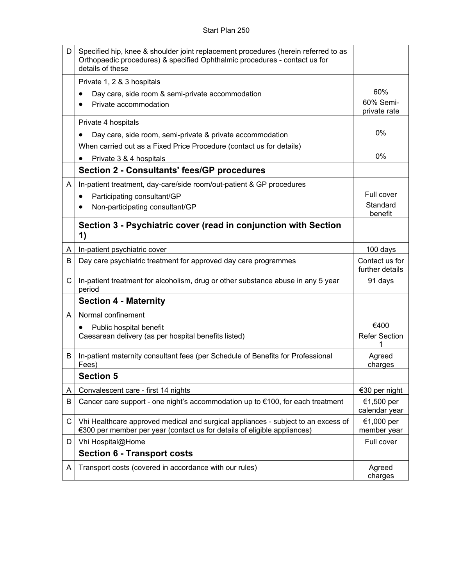| D            | Specified hip, knee & shoulder joint replacement procedures (herein referred to as<br>Orthopaedic procedures) & specified Ophthalmic procedures - contact us for<br>details of these |                                   |
|--------------|--------------------------------------------------------------------------------------------------------------------------------------------------------------------------------------|-----------------------------------|
|              | Private 1, 2 & 3 hospitals                                                                                                                                                           |                                   |
|              | Day care, side room & semi-private accommodation                                                                                                                                     | 60%                               |
|              | Private accommodation                                                                                                                                                                | 60% Semi-<br>private rate         |
|              | Private 4 hospitals                                                                                                                                                                  |                                   |
|              | Day care, side room, semi-private & private accommodation                                                                                                                            | 0%                                |
|              | When carried out as a Fixed Price Procedure (contact us for details)                                                                                                                 |                                   |
|              | Private 3 & 4 hospitals                                                                                                                                                              | 0%                                |
|              | <b>Section 2 - Consultants' fees/GP procedures</b>                                                                                                                                   |                                   |
| A            | In-patient treatment, day-care/side room/out-patient & GP procedures                                                                                                                 |                                   |
|              | Participating consultant/GP                                                                                                                                                          | Full cover                        |
|              | Non-participating consultant/GP                                                                                                                                                      | Standard<br>benefit               |
|              | Section 3 - Psychiatric cover (read in conjunction with Section<br>1)                                                                                                                |                                   |
| A            | In-patient psychiatric cover                                                                                                                                                         | 100 days                          |
| В            | Day care psychiatric treatment for approved day care programmes                                                                                                                      | Contact us for<br>further details |
| $\mathsf{C}$ | In-patient treatment for alcoholism, drug or other substance abuse in any 5 year<br>period                                                                                           | 91 days                           |
|              | <b>Section 4 - Maternity</b>                                                                                                                                                         |                                   |
| A            | Normal confinement                                                                                                                                                                   |                                   |
|              | Public hospital benefit<br>٠                                                                                                                                                         | €400                              |
|              | Caesarean delivery (as per hospital benefits listed)                                                                                                                                 | <b>Refer Section</b><br>1         |
| B            | In-patient maternity consultant fees (per Schedule of Benefits for Professional<br>Fees)                                                                                             | Agreed<br>charges                 |
|              | <b>Section 5</b>                                                                                                                                                                     |                                   |
| A            | Convalescent care - first 14 nights                                                                                                                                                  | €30 per night                     |
| B            | Cancer care support - one night's accommodation up to €100, for each treatment                                                                                                       | €1,500 per<br>calendar year       |
| C            | Vhi Healthcare approved medical and surgical appliances - subject to an excess of<br>€300 per member per year (contact us for details of eligible appliances)                        | €1,000 per<br>member year         |
| D            | Vhi Hospital@Home                                                                                                                                                                    | Full cover                        |
|              | <b>Section 6 - Transport costs</b>                                                                                                                                                   |                                   |
| A            | Transport costs (covered in accordance with our rules)                                                                                                                               | Agreed<br>charges                 |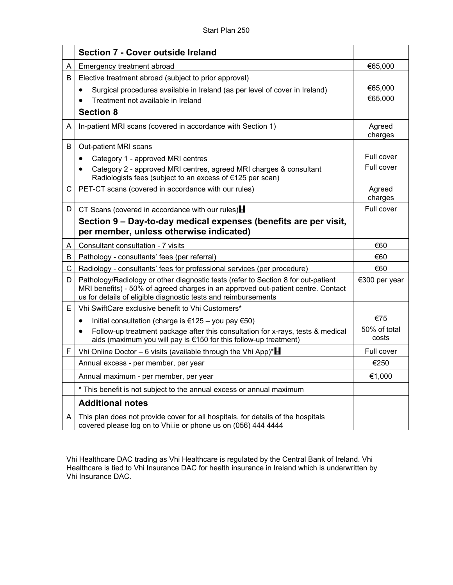|    | <b>Section 7 - Cover outside Ireland</b>                                                                                                                                                                                                |                       |
|----|-----------------------------------------------------------------------------------------------------------------------------------------------------------------------------------------------------------------------------------------|-----------------------|
| A  | Emergency treatment abroad                                                                                                                                                                                                              | €65,000               |
| В  | Elective treatment abroad (subject to prior approval)                                                                                                                                                                                   |                       |
|    | Surgical procedures available in Ireland (as per level of cover in Ireland)                                                                                                                                                             | €65,000               |
|    | Treatment not available in Ireland                                                                                                                                                                                                      | €65,000               |
|    | <b>Section 8</b>                                                                                                                                                                                                                        |                       |
| A  | In-patient MRI scans (covered in accordance with Section 1)                                                                                                                                                                             | Agreed<br>charges     |
| В  | Out-patient MRI scans                                                                                                                                                                                                                   |                       |
|    | Category 1 - approved MRI centres<br>٠                                                                                                                                                                                                  | Full cover            |
|    | Category 2 - approved MRI centres, agreed MRI charges & consultant<br>٠<br>Radiologists fees (subject to an excess of €125 per scan)                                                                                                    | Full cover            |
| C. | PET-CT scans (covered in accordance with our rules)                                                                                                                                                                                     | Agreed<br>charges     |
| D  | CT Scans (covered in accordance with our rules) $\blacksquare$                                                                                                                                                                          | Full cover            |
|    | Section 9 – Day-to-day medical expenses (benefits are per visit,<br>per member, unless otherwise indicated)                                                                                                                             |                       |
| A  | Consultant consultation - 7 visits                                                                                                                                                                                                      | €60                   |
| B  | Pathology - consultants' fees (per referral)                                                                                                                                                                                            | €60                   |
| C  | Radiology - consultants' fees for professional services (per procedure)                                                                                                                                                                 | €60                   |
| D  | Pathology/Radiology or other diagnostic tests (refer to Section 8 for out-patient<br>MRI benefits) - 50% of agreed charges in an approved out-patient centre. Contact<br>us for details of eligible diagnostic tests and reimbursements | €300 per year         |
| E. | Vhi SwiftCare exclusive benefit to Vhi Customers*                                                                                                                                                                                       |                       |
|    | Initial consultation (charge is €125 - you pay €50)<br>$\bullet$                                                                                                                                                                        | €75                   |
|    | Follow-up treatment package after this consultation for x-rays, tests & medical<br>$\bullet$<br>aids (maximum you will pay is €150 for this follow-up treatment)                                                                        | 50% of total<br>costs |
| F  | Vhi Online Doctor - 6 visits (available through the Vhi App)* $\blacksquare$                                                                                                                                                            | Full cover            |
|    | Annual excess - per member, per year                                                                                                                                                                                                    | €250                  |
|    | Annual maximum - per member, per year                                                                                                                                                                                                   | €1,000                |
|    | * This benefit is not subject to the annual excess or annual maximum                                                                                                                                                                    |                       |
|    | <b>Additional notes</b>                                                                                                                                                                                                                 |                       |
| A  | This plan does not provide cover for all hospitals, for details of the hospitals<br>covered please log on to Vhi.ie or phone us on (056) 444 4444                                                                                       |                       |

Vhi Healthcare DAC trading as Vhi Healthcare is regulated by the Central Bank of Ireland. Vhi Healthcare is tied to Vhi Insurance DAC for health insurance in Ireland which is underwritten by Vhi Insurance DAC.